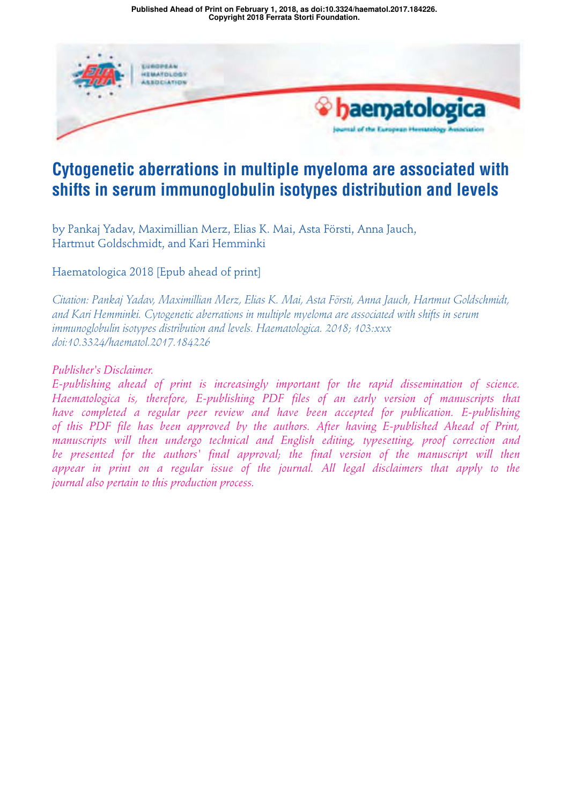**Copyright 2018 Ferrata Storti Foundation. Published Ahead of Print on February 1, 2018, as doi:10.3324/haematol.2017.184226.**



# **Cytogenetic aberrations in multiple myeloma are associated with shifts in serum immunoglobulin isotypes distribution and levels**

by Pankaj Yadav, Maximillian Merz, Elias K. Mai, Asta Försti, Anna Jauch, Hartmut Goldschmidt, and Kari Hemminki

Haematologica 2018 [Epub ahead of print]

*Citation: Pankaj Yadav, Maximillian Merz, Elias K. Mai, Asta Försti, Anna Jauch, Hartmut Goldschmidt, and Kari Hemminki. Cytogenetic aberrations in multiple myeloma are associated with shifts in serum immunoglobulin isotypes distribution and levels. Haematologica. 2018; 103:xxx doi:10.3324/haematol.2017.184226*

# *Publisher's Disclaimer.*

*E-publishing ahead of print is increasingly important for the rapid dissemination of science. Haematologica is, therefore, E-publishing PDF files of an early version of manuscripts that have completed a regular peer review and have been accepted for publication. E-publishing of this PDF file has been approved by the authors. After having E-published Ahead of Print, manuscripts will then undergo technical and English editing, typesetting, proof correction and be presented for the authors' final approval; the final version of the manuscript will then appear in print on a regular issue of the journal. All legal disclaimers that apply to the journal also pertain to this production process.*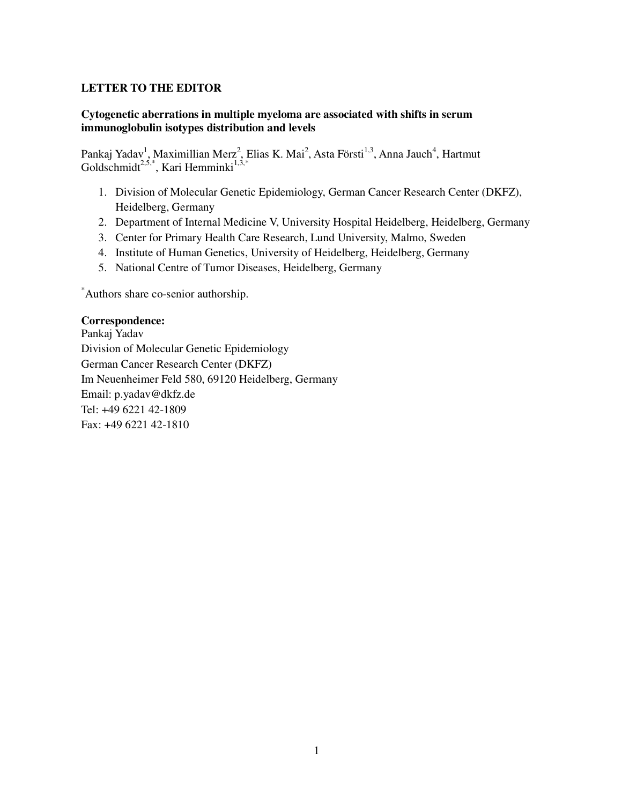# **LETTER TO THE EDITOR**

# **Cytogenetic aberrations in multiple myeloma are associated with shifts in serum immunoglobulin isotypes distribution and levels**

Pankaj Yadav<sup>1</sup>, Maximillian Merz<sup>2</sup>, Elias K. Mai<sup>2</sup>, Asta Försti<sup>1,3</sup>, Anna Jauch<sup>4</sup>, Hartmut Goldschmidt<sup>2,5,\*</sup>, Kari Hemminki<sup>1,3,\*</sup>

- 1. Division of Molecular Genetic Epidemiology, German Cancer Research Center (DKFZ), Heidelberg, Germany
- 2. Department of Internal Medicine V, University Hospital Heidelberg, Heidelberg, Germany
- 3. Center for Primary Health Care Research, Lund University, Malmo, Sweden
- 4. Institute of Human Genetics, University of Heidelberg, Heidelberg, Germany
- 5. National Centre of Tumor Diseases, Heidelberg, Germany

\*Authors share co-senior authorship.

### **Correspondence:**

Pankaj Yadav Division of Molecular Genetic Epidemiology German Cancer Research Center (DKFZ) Im Neuenheimer Feld 580, 69120 Heidelberg, Germany Email: p.yadav@dkfz.de Tel: +49 6221 42-1809 Fax: +49 6221 42-1810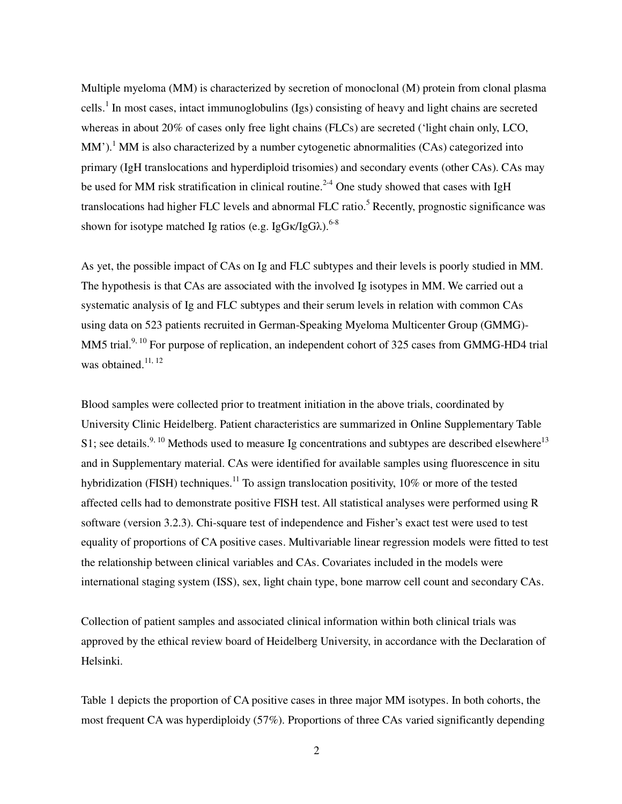Multiple myeloma (MM) is characterized by secretion of monoclonal (M) protein from clonal plasma cells.<sup>1</sup> In most cases, intact immunoglobulins (Igs) consisting of heavy and light chains are secreted whereas in about 20% of cases only free light chains (FLCs) are secreted ('light chain only, LCO, MM').<sup>1</sup> MM is also characterized by a number cytogenetic abnormalities (CAs) categorized into primary (IgH translocations and hyperdiploid trisomies) and secondary events (other CAs). CAs may be used for MM risk stratification in clinical routine.<sup>2-4</sup> One study showed that cases with IgH translocations had higher FLC levels and abnormal FLC ratio.<sup>5</sup> Recently, prognostic significance was shown for isotype matched Ig ratios (e.g. Ig $G_K/IgG_\lambda$ ).<sup>6-8</sup>

As yet, the possible impact of CAs on Ig and FLC subtypes and their levels is poorly studied in MM. The hypothesis is that CAs are associated with the involved Ig isotypes in MM. We carried out a systematic analysis of Ig and FLC subtypes and their serum levels in relation with common CAs using data on 523 patients recruited in German-Speaking Myeloma Multicenter Group (GMMG)- MM5 trial.<sup>9, 10</sup> For purpose of replication, an independent cohort of 325 cases from GMMG-HD4 trial was obtained. $^{11, 12}$ 

Blood samples were collected prior to treatment initiation in the above trials, coordinated by University Clinic Heidelberg. Patient characteristics are summarized in Online Supplementary Table S1; see details.<sup>9, 10</sup> Methods used to measure Ig concentrations and subtypes are described elsewhere<sup>13</sup> and in Supplementary material. CAs were identified for available samples using fluorescence in situ hybridization (FISH) techniques.<sup>11</sup> To assign translocation positivity,  $10\%$  or more of the tested affected cells had to demonstrate positive FISH test. All statistical analyses were performed using R software (version 3.2.3). Chi-square test of independence and Fisher's exact test were used to test equality of proportions of CA positive cases. Multivariable linear regression models were fitted to test the relationship between clinical variables and CAs. Covariates included in the models were international staging system (ISS), sex, light chain type, bone marrow cell count and secondary CAs.

Collection of patient samples and associated clinical information within both clinical trials was approved by the ethical review board of Heidelberg University, in accordance with the Declaration of Helsinki.

Table 1 depicts the proportion of CA positive cases in three major MM isotypes. In both cohorts, the most frequent CA was hyperdiploidy (57%). Proportions of three CAs varied significantly depending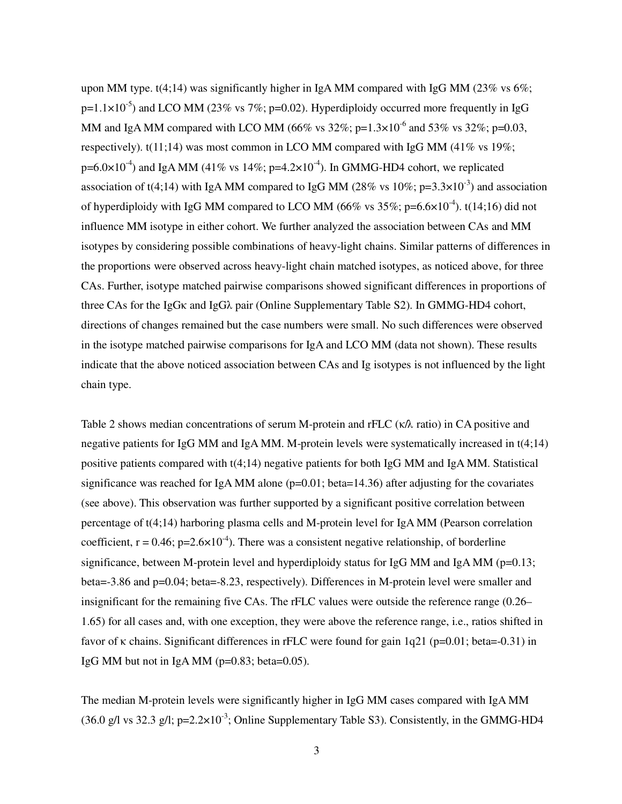upon MM type.  $t(4;14)$  was significantly higher in IgA MM compared with IgG MM (23% vs 6%;  $p=1.1\times10^{-5}$ ) and LCO MM (23% vs 7%;  $p=0.02$ ). Hyperdiploidy occurred more frequently in IgG MM and IgA MM compared with LCO MM (66% vs  $32\%$ ; p=1.3×10<sup>-6</sup> and 53% vs  $32\%$ ; p=0.03, respectively).  $t(11;14)$  was most common in LCO MM compared with IgG MM (41% vs 19%;  $p=6.0\times10^{-4}$ ) and IgA MM (41% vs 14%;  $p=4.2\times10^{-4}$ ). In GMMG-HD4 cohort, we replicated association of t(4;14) with IgA MM compared to IgG MM (28% vs  $10\%$ ; p=3.3×10<sup>-3</sup>) and association of hyperdiploidy with IgG MM compared to LCO MM (66% vs  $35\%$ ; p=6.6×10<sup>-4</sup>). t(14;16) did not influence MM isotype in either cohort. We further analyzed the association between CAs and MM isotypes by considering possible combinations of heavy-light chains. Similar patterns of differences in the proportions were observed across heavy-light chain matched isotypes, as noticed above, for three CAs. Further, isotype matched pairwise comparisons showed significant differences in proportions of three CAs for the IgGκ and IgGλ pair (Online Supplementary Table S2). In GMMG-HD4 cohort, directions of changes remained but the case numbers were small. No such differences were observed in the isotype matched pairwise comparisons for IgA and LCO MM (data not shown). These results indicate that the above noticed association between CAs and Ig isotypes is not influenced by the light chain type.

Table 2 shows median concentrations of serum M-protein and rFLC (κ/λ ratio) in CA positive and negative patients for IgG MM and IgA MM. M-protein levels were systematically increased in t(4;14) positive patients compared with t(4;14) negative patients for both IgG MM and IgA MM. Statistical significance was reached for IgA MM alone ( $p=0.01$ ; beta=14.36) after adjusting for the covariates (see above). This observation was further supported by a significant positive correlation between percentage of t(4;14) harboring plasma cells and M-protein level for IgA MM (Pearson correlation coefficient,  $r = 0.46$ ;  $p=2.6\times10^{-4}$ ). There was a consistent negative relationship, of borderline significance, between M-protein level and hyperdiploidy status for IgG MM and IgA MM ( $p=0.13$ ; beta=-3.86 and p=0.04; beta=-8.23, respectively). Differences in M-protein level were smaller and insignificant for the remaining five CAs. The rFLC values were outside the reference range (0.26– 1.65) for all cases and, with one exception, they were above the reference range, i.e., ratios shifted in favor of κ chains. Significant differences in rFLC were found for gain 1q21 (p=0.01; beta=-0.31) in IgG MM but not in IgA MM ( $p=0.83$ ; beta=0.05).

The median M-protein levels were significantly higher in IgG MM cases compared with IgA MM (36.0 g/l vs 32.3 g/l; p= $2.2 \times 10^{-3}$ ; Online Supplementary Table S3). Consistently, in the GMMG-HD4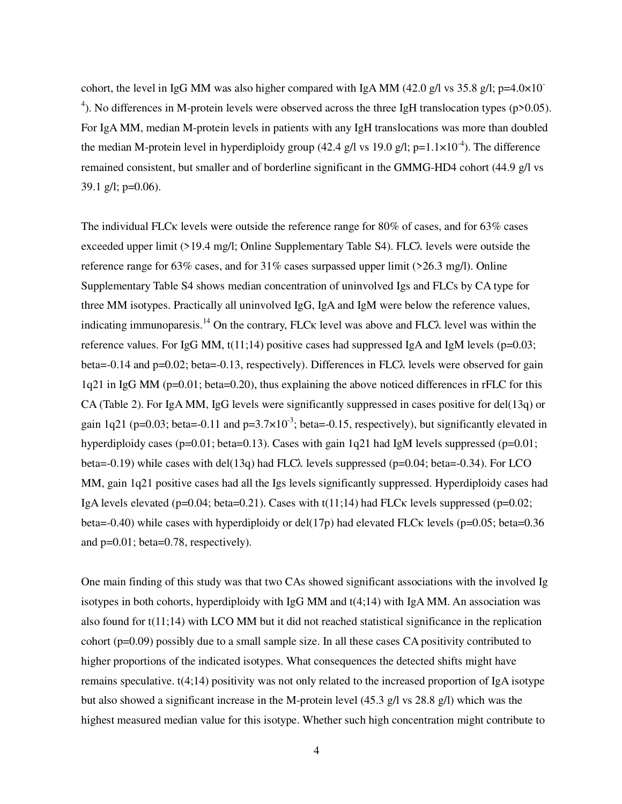cohort, the level in IgG MM was also higher compared with IgA MM (42.0 g/l vs 35.8 g/l; p=4.0×10<sup>-</sup> <sup>4</sup>). No differences in M-protein levels were observed across the three IgH translocation types (p>0.05). For IgA MM, median M-protein levels in patients with any IgH translocations was more than doubled the median M-protein level in hyperdiploidy group (42.4 g/l vs 19.0 g/l; p=1.1×10<sup>-4</sup>). The difference remained consistent, but smaller and of borderline significant in the GMMG-HD4 cohort (44.9 g/l vs 39.1 g/l;  $p=0.06$ ).

The individual FLCκ levels were outside the reference range for 80% of cases, and for 63% cases exceeded upper limit  $(>19.4 \text{ mg/l}; \text{Online Supplementary Table S4})$ . FLC $\lambda$  levels were outside the reference range for 63% cases, and for 31% cases surpassed upper limit (>26.3 mg/l). Online Supplementary Table S4 shows median concentration of uninvolved Igs and FLCs by CA type for three MM isotypes. Practically all uninvolved IgG, IgA and IgM were below the reference values, indicating immunoparesis.<sup>14</sup> On the contrary, FLC<sub>K</sub> level was above and FLC $\lambda$  level was within the reference values. For IgG MM,  $t(11;14)$  positive cases had suppressed IgA and IgM levels ( $p=0.03$ ; beta=-0.14 and  $p=0.02$ ; beta=-0.13, respectively). Differences in FLC $\lambda$  levels were observed for gain 1q21 in IgG MM (p=0.01; beta=0.20), thus explaining the above noticed differences in rFLC for this CA (Table 2). For IgA MM, IgG levels were significantly suppressed in cases positive for del(13q) or gain 1q21 (p=0.03; beta=-0.11 and p=3.7 $\times$ 10<sup>-3</sup>; beta=-0.15, respectively), but significantly elevated in hyperdiploidy cases ( $p=0.01$ ; beta=0.13). Cases with gain 1q21 had IgM levels suppressed ( $p=0.01$ ; beta=-0.19) while cases with del(13q) had FLC $\lambda$  levels suppressed (p=0.04; beta=-0.34). For LCO MM, gain 1q21 positive cases had all the Igs levels significantly suppressed. Hyperdiploidy cases had IgA levels elevated ( $p=0.04$ ; beta=0.21). Cases with t(11;14) had FLC $\kappa$  levels suppressed ( $p=0.02$ ; beta=-0.40) while cases with hyperdiploidy or del(17p) had elevated FLC $\kappa$  levels (p=0.05; beta=0.36 and p=0.01; beta=0.78, respectively).

One main finding of this study was that two CAs showed significant associations with the involved Ig isotypes in both cohorts, hyperdiploidy with IgG MM and t(4;14) with IgA MM. An association was also found for t(11;14) with LCO MM but it did not reached statistical significance in the replication cohort (p=0.09) possibly due to a small sample size. In all these cases CA positivity contributed to higher proportions of the indicated isotypes. What consequences the detected shifts might have remains speculative. t(4;14) positivity was not only related to the increased proportion of IgA isotype but also showed a significant increase in the M-protein level (45.3 g/l vs 28.8 g/l) which was the highest measured median value for this isotype. Whether such high concentration might contribute to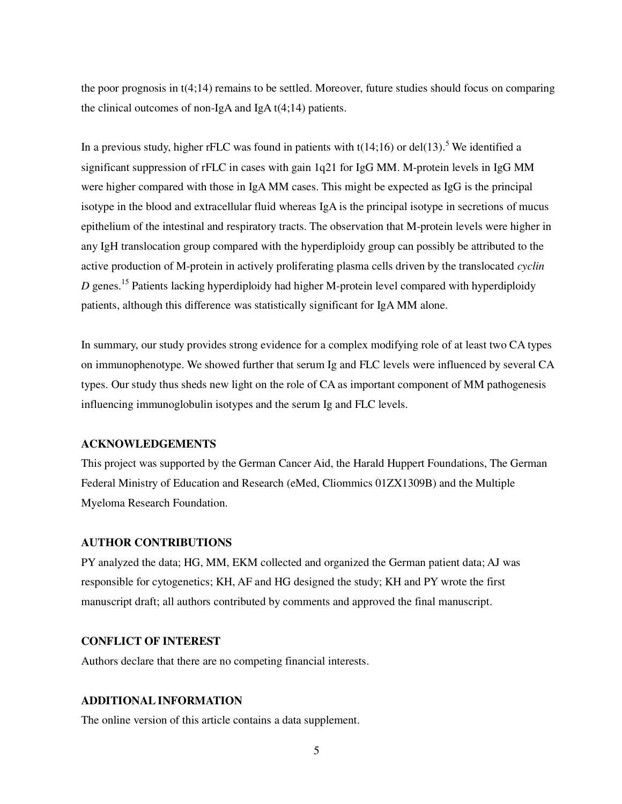the poor prognosis in t(4;14) remains to be settled. Moreover, future studies should focus on comparing the clinical outcomes of non-IgA and IgA t(4;14) patients.

In a previous study, higher rFLC was found in patients with  $t(14;16)$  or del $(13)$ .<sup>5</sup> We identified a significant suppression of rFLC in cases with gain 1q21 for IgG MM. M-protein levels in IgG MM were higher compared with those in IgA MM cases. This might be expected as IgG is the principal isotype in the blood and extracellular fluid whereas IgA is the principal isotype in secretions of mucus epithelium of the intestinal and respiratory tracts. The observation that M-protein levels were higher in any IgH translocation group compared with the hyperdiploidy group can possibly be attributed to the active production of M-protein in actively proliferating plasma cells driven by the translocated *cyclin D* genes. <sup>15</sup> Patients lacking hyperdiploidy had higher M-protein level compared with hyperdiploidy patients, although this difference was statistically significant for IgA MM alone.

In summary, our study provides strong evidence for a complex modifying role of at least two CA types on immunophenotype. We showed further that serum Ig and FLC levels were influenced by several CA types. Our study thus sheds new light on the role of CA as important component of MM pathogenesis influencing immunoglobulin isotypes and the serum Ig and FLC levels.

#### **ACKNOWLEDGEMENTS**

This project was supported by the German Cancer Aid, the Harald Huppert Foundations, The German Federal Ministry of Education and Research (eMed, Cliommics 01ZX1309B) and the Multiple Myeloma Research Foundation.

#### **AUTHOR CONTRIBUTIONS**

PY analyzed the data; HG, MM, EKM collected and organized the German patient data; AJ was responsible for cytogenetics; KH, AF and HG designed the study; KH and PY wrote the first manuscript draft; all authors contributed by comments and approved the final manuscript.

#### **CONFLICT OF INTEREST**

Authors declare that there are no competing financial interests.

#### **ADDITIONAL INFORMATION**

The online version of this article contains a data supplement.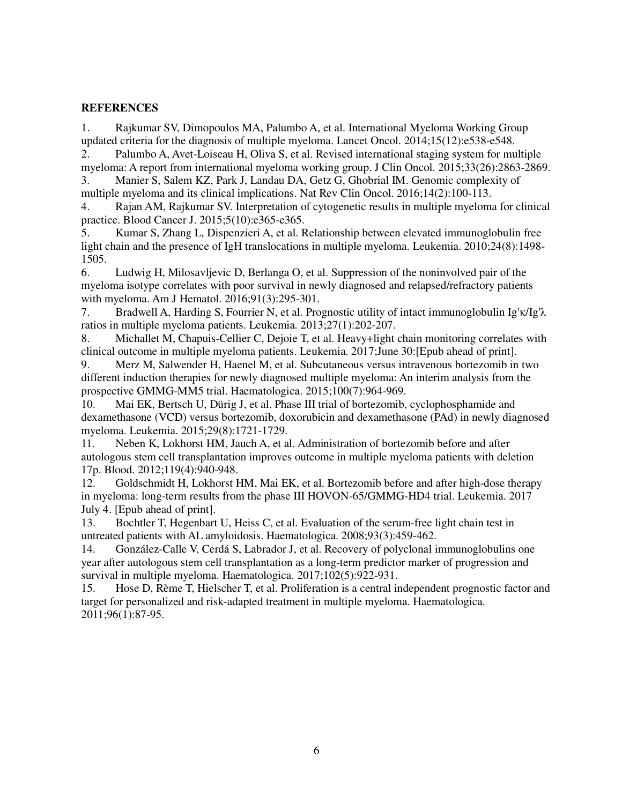# **REFERENCES**

1. Rajkumar SV, Dimopoulos MA, Palumbo A, et al. International Myeloma Working Group updated criteria for the diagnosis of multiple myeloma. Lancet Oncol. 2014;15(12):e538-e548.

2. Palumbo A, Avet-Loiseau H, Oliva S, et al. Revised international staging system for multiple myeloma: A report from international myeloma working group. J Clin Oncol. 2015;33(26):2863-2869. 3. Manier S, Salem KZ, Park J, Landau DA, Getz G, Ghobrial IM. Genomic complexity of

multiple myeloma and its clinical implications. Nat Rev Clin Oncol. 2016;14(2):100-113.

4. Rajan AM, Rajkumar SV. Interpretation of cytogenetic results in multiple myeloma for clinical practice. Blood Cancer J. 2015;5(10):e365-e365.

5. Kumar S, Zhang L, Dispenzieri A, et al. Relationship between elevated immunoglobulin free light chain and the presence of IgH translocations in multiple myeloma. Leukemia. 2010;24(8):1498- 1505.

6. Ludwig H, Milosavljevic D, Berlanga O, et al. Suppression of the noninvolved pair of the myeloma isotype correlates with poor survival in newly diagnosed and relapsed/refractory patients with myeloma. Am J Hematol. 2016;91(3):295-301.

7. Bradwell A, Harding S, Fourrier N, et al. Prognostic utility of intact immunoglobulin Ig′κ/Ig′λ ratios in multiple myeloma patients. Leukemia. 2013;27(1):202-207.

8. Michallet M, Chapuis-Cellier C, Dejoie T, et al. Heavy+light chain monitoring correlates with clinical outcome in multiple myeloma patients. Leukemia. 2017;June 30:[Epub ahead of print].

9. Merz M, Salwender H, Haenel M, et al. Subcutaneous versus intravenous bortezomib in two different induction therapies for newly diagnosed multiple myeloma: An interim analysis from the prospective GMMG-MM5 trial. Haematologica. 2015;100(7):964-969.

10. Mai EK, Bertsch U, Dürig J, et al. Phase III trial of bortezomib, cyclophosphamide and dexamethasone (VCD) versus bortezomib, doxorubicin and dexamethasone (PAd) in newly diagnosed myeloma. Leukemia. 2015;29(8):1721-1729.

11. Neben K, Lokhorst HM, Jauch A, et al. Administration of bortezomib before and after autologous stem cell transplantation improves outcome in multiple myeloma patients with deletion 17p. Blood. 2012;119(4):940-948.

12. Goldschmidt H, Lokhorst HM, Mai EK, et al. Bortezomib before and after high-dose therapy in myeloma: long-term results from the phase III HOVON-65/GMMG-HD4 trial. Leukemia. 2017 July 4. [Epub ahead of print].

13. Bochtler T, Hegenbart U, Heiss C, et al. Evaluation of the serum-free light chain test in untreated patients with AL amyloidosis. Haematologica. 2008;93(3):459-462.

14. González-Calle V, Cerdá S, Labrador J, et al. Recovery of polyclonal immunoglobulins one year after autologous stem cell transplantation as a long-term predictor marker of progression and survival in multiple myeloma. Haematologica. 2017;102(5):922-931.

15. Hose D, Rème T, Hielscher T, et al. Proliferation is a central independent prognostic factor and target for personalized and risk-adapted treatment in multiple myeloma. Haematologica. 2011;96(1):87-95.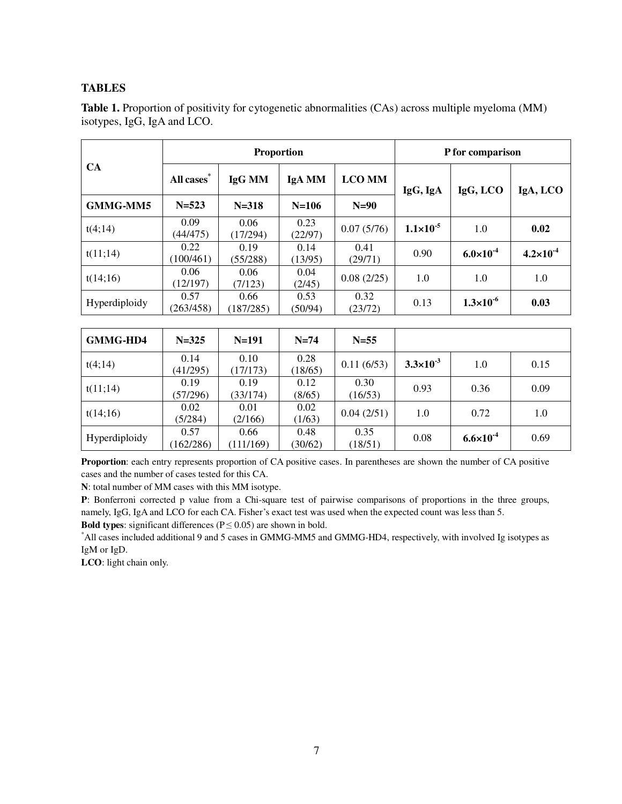# **TABLES**

|                 |                        | <b>Proportion</b> |                 |                 |                      | P for comparison     |                      |  |
|-----------------|------------------------|-------------------|-----------------|-----------------|----------------------|----------------------|----------------------|--|
| <b>CA</b>       | All cases <sup>*</sup> | IgG MM            | IgA MM          | <b>LCO MM</b>   | IgG, LCO<br>IgG, IgA |                      | IgA, LCO             |  |
| <b>GMMG-MM5</b> | $N = 523$              | $N = 318$         | $N=106$         | $N=90$          |                      |                      |                      |  |
| t(4;14)         | 0.09<br>(44/475)       | 0.06<br>(17/294)  | 0.23<br>(22/97) | 0.07(5/76)      | $1.1 \times 10^{-5}$ | 1.0                  | 0.02                 |  |
| t(11;14)        | 0.22<br>(100/461)      | 0.19<br>(55/288)  | 0.14<br>(13/95) | 0.41<br>(29/71) | 0.90                 | $6.0 \times 10^{-4}$ | $4.2 \times 10^{-4}$ |  |
| t(14;16)        | 0.06<br>(12/197)       | 0.06<br>(7/123)   | 0.04<br>(2/45)  | 0.08(2/25)      | 1.0                  | 1.0                  | 1.0                  |  |
| Hyperdiploidy   | 0.57<br>(263/458)      | 0.66<br>(187/285) | 0.53<br>(50/94) | 0.32<br>(23/72) | 0.13                 | $1.3 \times 10^{-6}$ | 0.03                 |  |

Table 1. Proportion of positivity for cytogenetic abnormalities (CAs) across multiple myeloma (MM) isotypes, IgG, IgA and LCO.

| GMMG-HD4      | $N = 325$         | $N=191$           | $N=74$          | $N=55$          |                      |                      |      |
|---------------|-------------------|-------------------|-----------------|-----------------|----------------------|----------------------|------|
| t(4;14)       | 0.14<br>(41/295)  | 0.10<br>(17/173)  | 0.28<br>(18/65) | 0.11(6/53)      | $3.3 \times 10^{-3}$ | 1.0                  | 0.15 |
| t(11;14)      | 0.19<br>(57/296)  | 0.19<br>(33/174)  | 0.12<br>(8/65)  | 0.30<br>(16/53) | 0.93                 | 0.36                 | 0.09 |
| t(14;16)      | 0.02<br>(5/284)   | 0.01<br>(2/166)   | 0.02<br>(1/63)  | 0.04(2/51)      | 1.0                  | 0.72                 | 1.0  |
| Hyperdiploidy | 0.57<br>(162/286) | 0.66<br>(111/169) | 0.48<br>(30/62) | 0.35<br>(18/51) | 0.08                 | $6.6 \times 10^{-4}$ | 0.69 |

**Proportion**: each entry represents proportion of CA positive cases. In parentheses are shown the number of CA positive cases and the number of cases tested for this CA.

**N**: total number of MM cases with this MM isotype.

**P**: Bonferroni corrected p value from a Chi-square test of pairwise comparisons of proportions in the three groups, namely, IgG, IgA and LCO for each CA. Fisher's exact test was used when the expected count was less than 5.

**Bold types**: significant differences ( $P \le 0.05$ ) are shown in bold.

\*All cases included additional 9 and 5 cases in GMMG-MM5 and GMMG-HD4, respectively, with involved Ig isotypes as IgM or IgD.

**LCO**: light chain only.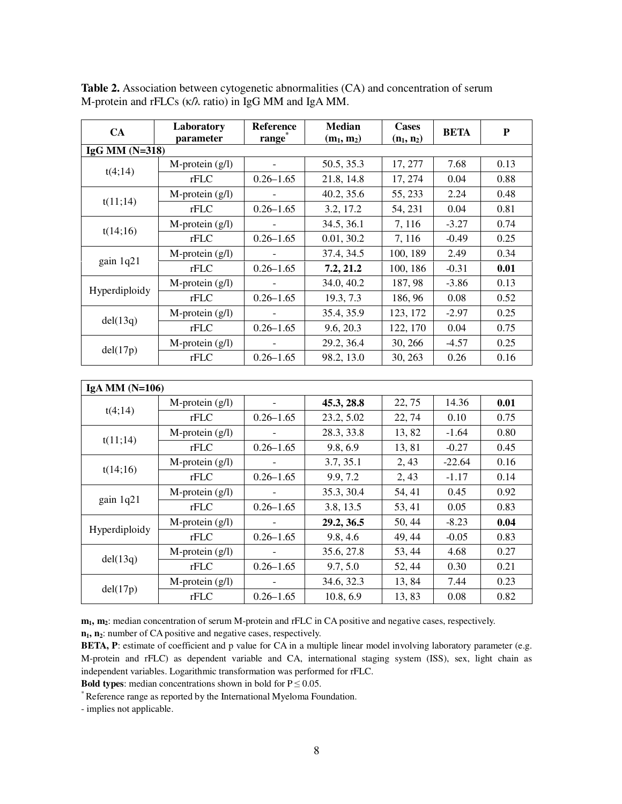| CA               | Laboratory           | Reference          | <b>Median</b> | <b>Cases</b> |                                                                                                                                                                                                                                           | ${\bf P}$ |
|------------------|----------------------|--------------------|---------------|--------------|-------------------------------------------------------------------------------------------------------------------------------------------------------------------------------------------------------------------------------------------|-----------|
|                  | parameter            | range <sup>*</sup> | $(m_1, m_2)$  | $(n_1, n_2)$ |                                                                                                                                                                                                                                           |           |
| IgG MM $(N=318)$ |                      |                    |               |              |                                                                                                                                                                                                                                           |           |
| t(4;14)          | $M$ -protein $(g/l)$ |                    | 50.5, 35.3    | 17, 277      |                                                                                                                                                                                                                                           | 0.13      |
|                  | rFLC                 | $0.26 - 1.65$      | 21.8, 14.8    | 17, 274      | 0.04                                                                                                                                                                                                                                      | 0.88      |
| t(11;14)         | $M$ -protein $(g/l)$ |                    | 40.2, 35.6    | 55, 233      | 2.24                                                                                                                                                                                                                                      | 0.48      |
|                  | rFLC                 | $0.26 - 1.65$      | 3.2, 17.2     | 54, 231      | 0.04                                                                                                                                                                                                                                      | 0.81      |
| t(14;16)         | $M$ -protein $(g/l)$ |                    | 34.5, 36.1    | 7, 116       | <b>BETA</b><br>7.68<br>$-3.27$<br>$-0.49$<br>2.49<br>$-0.31$<br>$-3.86$<br>0.08<br>$-2.97$<br>0.04<br>$-4.57$<br>0.26<br>14.36<br>0.10<br>$-1.64$<br>$-0.27$<br>$-22.64$<br>$-1.17$<br>0.45<br>0.05<br>$-8.23$<br>$-0.05$<br>4.68<br>0.30 | 0.74      |
|                  | rFLC                 | $0.26 - 1.65$      | 0.01, 30.2    | 7, 116       |                                                                                                                                                                                                                                           | 0.25      |
|                  | $M$ -protein $(g/l)$ |                    | 37.4, 34.5    | 100, 189     |                                                                                                                                                                                                                                           | 0.34      |
| gain 1q21        | rFLC                 | $0.26 - 1.65$      | 7.2, 21.2     | 100, 186     |                                                                                                                                                                                                                                           | 0.01      |
|                  | $M$ -protein $(g/l)$ |                    | 34.0, 40.2    | 187, 98      |                                                                                                                                                                                                                                           | 0.13      |
| Hyperdiploidy    | rFLC                 | $0.26 - 1.65$      | 19.3, 7.3     | 186, 96      |                                                                                                                                                                                                                                           | 0.52      |
|                  | $M$ -protein $(g/l)$ |                    | 35.4, 35.9    | 123, 172     |                                                                                                                                                                                                                                           | 0.25      |
| del(13q)         | rFLC                 | $0.26 - 1.65$      | 9.6, 20.3     | 122, 170     |                                                                                                                                                                                                                                           | 0.75      |
|                  | M-protein (g/l)      |                    | 29.2, 36.4    | 30, 266      |                                                                                                                                                                                                                                           | 0.25      |
| del(17p)         | rFLC                 | $0.26 - 1.65$      | 98.2, 13.0    | 30, 263      |                                                                                                                                                                                                                                           | 0.16      |
|                  |                      |                    |               |              |                                                                                                                                                                                                                                           |           |
| IgA MM $(N=106)$ |                      |                    |               |              |                                                                                                                                                                                                                                           |           |
|                  | $M$ -protein $(g/l)$ |                    | 45.3, 28.8    | 22, 75       |                                                                                                                                                                                                                                           | 0.01      |
| t(4;14)          | rFLC                 | $0.26 - 1.65$      | 23.2, 5.02    | 22, 74       |                                                                                                                                                                                                                                           | 0.75      |
|                  | $M$ -protein $(g/l)$ |                    | 28.3, 33.8    | 13,82        |                                                                                                                                                                                                                                           | 0.80      |
| t(11;14)         | rFLC                 | $0.26 - 1.65$      | 9.8, 6.9      | 13,81        |                                                                                                                                                                                                                                           | 0.45      |
|                  | $M$ -protein $(g/l)$ |                    | 3.7, 35.1     | 2, 43        | 7.44<br>0.08                                                                                                                                                                                                                              | 0.16      |
| t(14;16)         | rFLC                 | $0.26 - 1.65$      | 9.9, 7.2      | 2, 43        |                                                                                                                                                                                                                                           | 0.14      |
|                  | $M$ -protein $(g/l)$ |                    | 35.3, 30.4    | 54, 41       |                                                                                                                                                                                                                                           | 0.92      |
| gain 1q21        | rFLC                 | $0.26 - 1.65$      | 3.8, 13.5     | 53, 41       |                                                                                                                                                                                                                                           | 0.83      |
|                  | $M$ -protein $(g/l)$ |                    | 29.2, 36.5    | 50, 44       |                                                                                                                                                                                                                                           | 0.04      |
| Hyperdiploidy    | rFLC                 | $0.26 - 1.65$      | 9.8, 4.6      | 49, 44       |                                                                                                                                                                                                                                           | 0.83      |
|                  | $M$ -protein $(g/l)$ |                    | 35.6, 27.8    | 53, 44       |                                                                                                                                                                                                                                           | 0.27      |
| del(13q)         | rFLC                 | $0.26 - 1.65$      | 9.7, 5.0      | 52, 44       |                                                                                                                                                                                                                                           | 0.21      |
|                  | $M$ -protein $(g/l)$ |                    | 34.6, 32.3    | 13,84        |                                                                                                                                                                                                                                           | 0.23      |
| del(17p)         | rFLC                 | $0.26 - 1.65$      | 10.8, 6.9     | 13,83        |                                                                                                                                                                                                                                           | 0.82      |

**Table 2.** Association between cytogenetic abnormalities (CA) and concentration of serum M-protein and rFLCs (κ/λ ratio) in IgG MM and IgA MM.

**m1, m2**: median concentration of serum M-protein and rFLC in CA positive and negative cases, respectively. **n1, n2**: number of CA positive and negative cases, respectively.

**BETA, P**: estimate of coefficient and p value for CA in a multiple linear model involving laboratory parameter (e.g. M-protein and rFLC) as dependent variable and CA, international staging system (ISS), sex, light chain as independent variables. Logarithmic transformation was performed for rFLC.

**Bold types:** median concentrations shown in bold for  $P \le 0.05$ .

\* Reference range as reported by the International Myeloma Foundation.

- implies not applicable.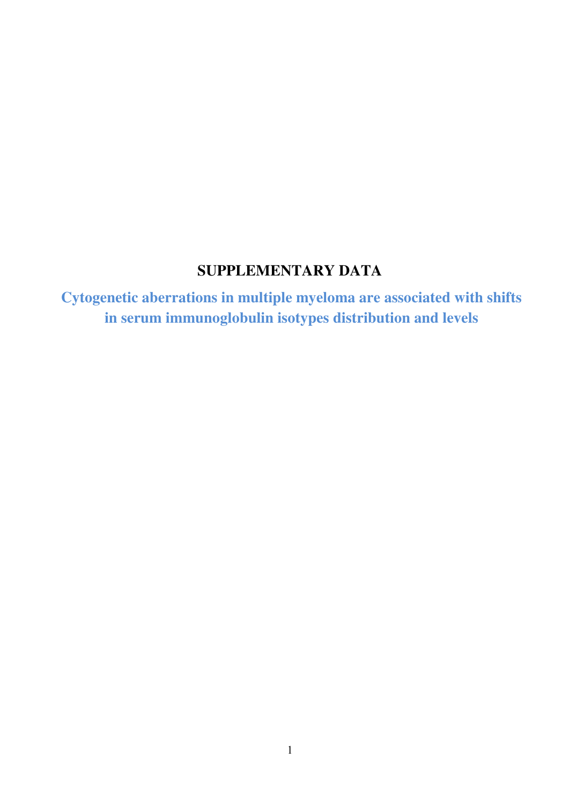# **SUPPLEMENTARY DATA**

**Cytogenetic aberrations in multiple myeloma are associated with shifts in serum immunoglobulin isotypes distribution and levels**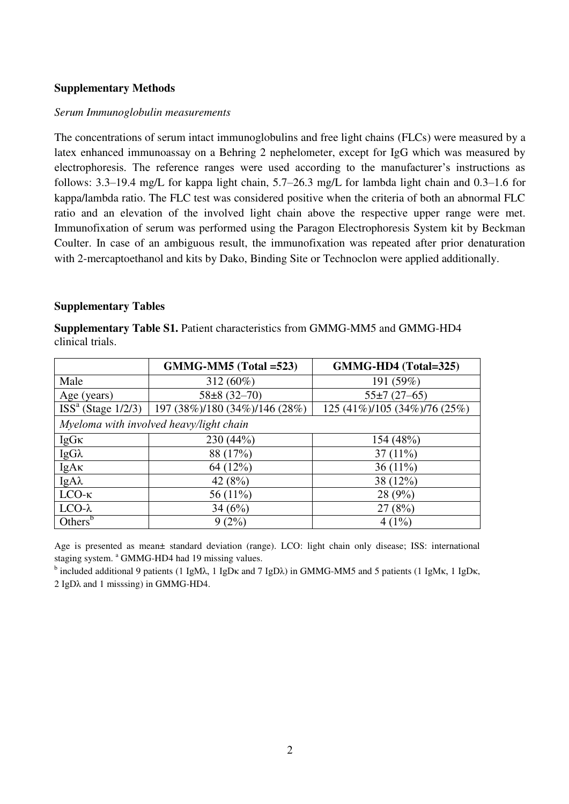# **Supplementary Methods**

# *Serum Immunoglobulin measurements*

The concentrations of serum intact immunoglobulins and free light chains (FLCs) were measured by a latex enhanced immunoassay on a Behring 2 nephelometer, except for IgG which was measured by electrophoresis. The reference ranges were used according to the manufacturer's instructions as follows: 3.3–19.4 mg/L for kappa light chain, 5.7–26.3 mg/L for lambda light chain and 0.3–1.6 for kappa/lambda ratio. The FLC test was considered positive when the criteria of both an abnormal FLC ratio and an elevation of the involved light chain above the respective upper range were met. Immunofixation of serum was performed using the Paragon Electrophoresis System kit by Beckman Coulter. In case of an ambiguous result, the immunofixation was repeated after prior denaturation with 2-mercaptoethanol and kits by Dako, Binding Site or Technoclon were applied additionally.

# **Supplementary Tables**

**Supplementary Table S1.** Patient characteristics from GMMG-MM5 and GMMG-HD4 clinical trials.

|                     | $GMMG-MM5$ (Total =523)                              | GMMG-HD4 (Total=325)         |
|---------------------|------------------------------------------------------|------------------------------|
| Male                | 312 (60%)                                            | 191 (59%)                    |
| Age (years)         | $58\pm8(32-70)$                                      | $55\pm7(27-65)$              |
|                     | $ISSa (Stage 1/2/3)$   197 (38%)/180 (34%)/146 (28%) | 125 (41%)/105 (34%)/76 (25%) |
|                     | Myeloma with involved heavy/light chain              |                              |
| $IgG\kappa$         | 230 (44%)                                            | 154 (48%)                    |
| $IgG\lambda$        | 88 (17%)                                             | $37(11\%)$                   |
| IgAx                | 64 (12%)                                             | 36 $(11\%)$                  |
| $IgA\lambda$        | 42 $(8%)$                                            | 38 (12%)                     |
| $LCO-K$             | 56 (11%)                                             | 28(9%)                       |
| $LCO-\lambda$       | 34 $(6%)$                                            | 27(8%)                       |
| Others <sup>b</sup> | 9(2%)                                                | $4(1\%)$                     |

Age is presented as mean± standard deviation (range). LCO: light chain only disease; ISS: international staging system. <sup>a</sup> GMMG-HD4 had 19 missing values.

<sup>b</sup> included additional 9 patients (1 IgMλ, 1 IgDκ and 7 IgDλ) in GMMG-MM5 and 5 patients (1 IgMκ, 1 IgDκ, 2 IgDλ and 1 misssing) in GMMG-HD4.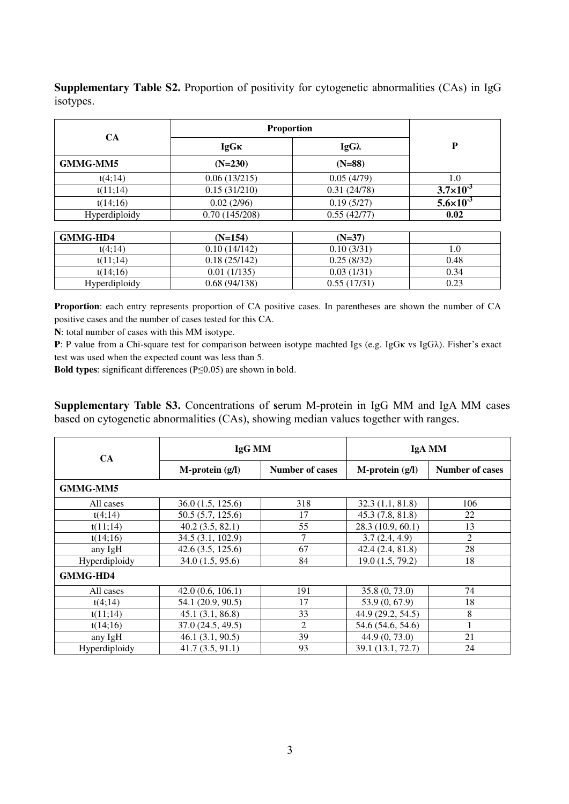|                 | <b>Proportion</b> |              |                      |
|-----------------|-------------------|--------------|----------------------|
| <b>CA</b>       | <b>IgGK</b>       | $IgG\lambda$ | D                    |
| <b>GMMG-MM5</b> | $(N=230)$         | $(N=88)$     |                      |
| t(4;14)         | 0.06(13/215)      | 0.05(4/79)   | 1.0                  |
| t(11;14)        | 0.15(31/210)      | 0.31(24/78)  | $3.7 \times 10^{-3}$ |
| t(14;16)        | 0.02(2/96)        | 0.19(5/27)   | $5.6 \times 10^{-3}$ |
| Hyperdiploidy   | 0.70(145/208)     | 0.55(42/77)  | 0.02                 |

**Supplementary Table S2.** Proportion of positivity for cytogenetic abnormalities (CAs) in IgG isotypes.

| GMMG-HD4      | $(N=154)$    | $(N=37)$    |      |
|---------------|--------------|-------------|------|
| t(4:14)       | 0.10(14/142) | 0.10(3/31)  |      |
| t(11:14)      | 0.18(25/142) | 0.25(8/32)  | 0.48 |
| t(14:16)      | 0.01(1/135)  | 0.03(1/31)  | 0.34 |
| Hyperdiploidy | 0.68(94/138) | 0.55(17/31) | 0.23 |

**Proportion**: each entry represents proportion of CA positive cases. In parentheses are shown the number of CA positive cases and the number of cases tested for this CA.

**N**: total number of cases with this MM isotype.

**P**: P value from a Chi-square test for comparison between isotype machted Igs (e.g. IgGκ vs IgGλ). Fisher's exact test was used when the expected count was less than 5.

**Bold types**: significant differences (P≤0.05) are shown in bold.

**Supplementary Table S3.** Concentrations of **s**erum M-protein in IgG MM and IgA MM cases based on cytogenetic abnormalities (CAs), showing median values together with ranges.

| CA              | IgG MM            |                        | IgA MM               |                        |  |
|-----------------|-------------------|------------------------|----------------------|------------------------|--|
|                 | $M-protein(g/l)$  | <b>Number of cases</b> | $M$ -protein $(g/I)$ | <b>Number of cases</b> |  |
| <b>GMMG-MM5</b> |                   |                        |                      |                        |  |
| All cases       | 36.0(1.5, 125.6)  | 318                    | 32.3(1.1, 81.8)      | 106                    |  |
| t(4;14)         | 50.5(5.7, 125.6)  | 17                     | 45.3(7.8, 81.8)      | 22                     |  |
| t(11;14)        | 40.2(3.5, 82.1)   | 55                     | 28.3 (10.9, 60.1)    | 13                     |  |
| t(14;16)        | 34.5 (3.1, 102.9) | 7                      | 3.7(2.4, 4.9)        | $\overline{2}$         |  |
| any IgH         | 42.6(3.5, 125.6)  | 67                     | 42.4(2.4, 81.8)      | 28                     |  |
| Hyperdiploidy   | 34.0(1.5, 95.6)   | 84                     | 19.0(1.5, 79.2)      | 18                     |  |
| <b>GMMG-HD4</b> |                   |                        |                      |                        |  |
| All cases       | 42.0(0.6, 106.1)  | 191                    | 35.8(0, 73.0)        | 74                     |  |
| t(4;14)         | 54.1 (20.9, 90.5) | 17                     | 53.9 (0, 67.9)       | 18                     |  |
| t(11;14)        | 45.1(3.1, 86.8)   | 33                     | 44.9 (29.2, 54.5)    | 8                      |  |
| t(14;16)        | 37.0(24.5, 49.5)  | 2                      | 54.6 (54.6, 54.6)    |                        |  |
| any IgH         | 46.1(3.1, 90.5)   | 39                     | 44.9(0, 73.0)        | 21                     |  |
| Hyperdiploidy   | 41.7(3.5, 91.1)   | 93                     | 39.1 (13.1, 72.7)    | 24                     |  |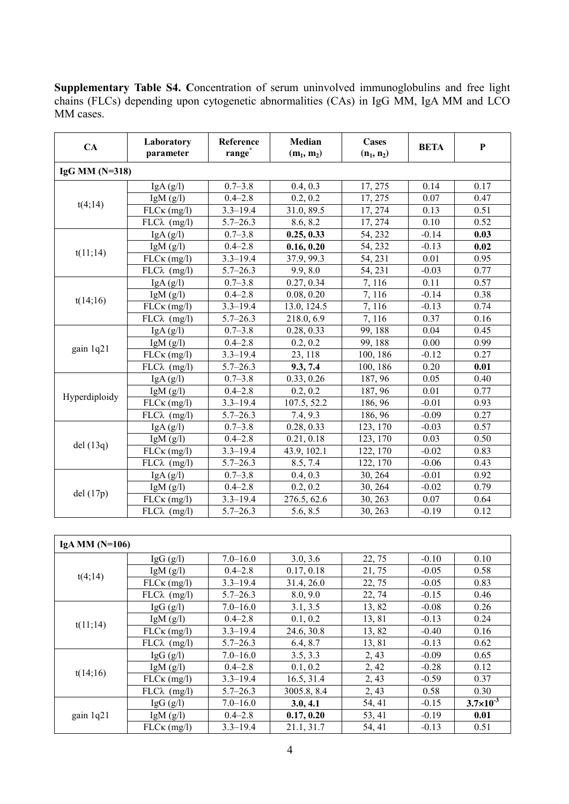| <b>Supplementary Table S4. Concentration of serum uninvolved immunoglobulins and free light</b> |  |  |
|-------------------------------------------------------------------------------------------------|--|--|
| chains (FLCs) depending upon cytogenetic abnormalities (CAs) in IgG MM, IgA MM and LCO          |  |  |
| MM cases.                                                                                       |  |  |

| CA               | Laboratory<br>parameter        | Reference<br>range <sup>®</sup> | <b>Median</b><br>$(m_1, m_2)$ | <b>Cases</b><br>$(n_1, n_2)$                                                                                                                                                                                                                                              | <b>BETA</b>                           | $\mathbf{P}$ |
|------------------|--------------------------------|---------------------------------|-------------------------------|---------------------------------------------------------------------------------------------------------------------------------------------------------------------------------------------------------------------------------------------------------------------------|---------------------------------------|--------------|
| IgG MM $(N=318)$ |                                |                                 |                               |                                                                                                                                                                                                                                                                           |                                       |              |
|                  | IgA(g/l)                       | $0.7 - 3.8$                     | 0.4, 0.3                      | 17, 275                                                                                                                                                                                                                                                                   | 0.14                                  | 0.17         |
|                  | IgM(g/l)                       | $0.4 - 2.8$                     | 0.2, 0.2                      | 17, 275                                                                                                                                                                                                                                                                   | 0.07                                  | 0.47         |
| t(4;14)          | $FLC\kappa$ (mg/l)             | $3.3 - 19.4$                    | 31.0, 89.5                    | 17, 274                                                                                                                                                                                                                                                                   | 0.13                                  | 0.51         |
|                  | $FLC\lambda$ (mg/l)            | $5.7 - 26.3$                    | 8.6, 8.2                      | 17, 274                                                                                                                                                                                                                                                                   | 0.10                                  | 0.52         |
|                  | IgA(g/I)                       | $0.7 - 3.8$                     | 0.25, 0.33                    | 54, 232                                                                                                                                                                                                                                                                   | $-0.14$                               | 0.03         |
| t(11;14)         | IgM(g/I)                       | $0.4 - 2.8$                     | 0.16, 0.20                    | 54, 232                                                                                                                                                                                                                                                                   | $-0.13$                               | 0.02         |
|                  | $FLC\kappa$ (mg/l)             | $3.3 - 19.4$                    | 37.9, 99.3                    | 54, 231                                                                                                                                                                                                                                                                   | 0.01                                  | 0.95         |
|                  | $FLC\lambda$ (mg/l)            | $5.7 - 26.3$                    | 9.9, 8.0                      | 54, 231                                                                                                                                                                                                                                                                   | $-0.03$                               | 0.77         |
|                  | IgA(g/I)                       | $0.7 - 3.8$                     | 0.27, 0.34                    | 7,116                                                                                                                                                                                                                                                                     | 0.11                                  | 0.57         |
| t(14;16)         | IgM(g/I)                       | $0.4 - 2.8$                     | 0.08, 0.20                    | 7,116                                                                                                                                                                                                                                                                     | $-0.14$                               | 0.38         |
|                  | $FLC\kappa$ (mg/l)             | $3.3 - 19.4$                    | 13.0, 124.5                   | 7,116                                                                                                                                                                                                                                                                     | $-0.13$                               | 0.74         |
|                  | $FLC\lambda$ (mg/l)            | $5.7 - 26.3$                    | 218.0, 6.9                    | 7,116<br>0.37<br>99, 188<br>0.04<br>99, 188<br>0.00<br>100, 186<br>$-0.12$<br>100, 186<br>0.20<br>187, 96<br>0.05<br>187, 96<br>0.01<br>186, 96<br>$-0.01$<br>186, 96<br>$-0.09$<br>123, 170<br>$-0.03$<br>123, 170<br>0.03<br>122, 170<br>$-0.02$<br>122, 170<br>$-0.06$ | 0.16                                  |              |
|                  | IgA(g/l)                       | $0.7 - 3.8$                     | 0.28, 0.33                    |                                                                                                                                                                                                                                                                           |                                       | 0.45         |
|                  | IgM $(g/l)$                    | $0.4 - 2.8$                     | 0.2, 0.2                      |                                                                                                                                                                                                                                                                           |                                       | 0.99         |
| gain 1q21        | $FLC\kappa$ (mg/l)             | $3.3 - 19.4$                    | 23, 118                       |                                                                                                                                                                                                                                                                           |                                       | 0.27         |
|                  | $FLC\lambda$ (mg/l)            | $5.7 - 26.3$                    | 9.3, 7.4                      |                                                                                                                                                                                                                                                                           |                                       | 0.01         |
|                  | IgA(g/I)                       | $0.7 - 3.8$                     | 0.33, 0.26                    |                                                                                                                                                                                                                                                                           |                                       | 0.40         |
| Hyperdiploidy    | IgM(g/I)                       | $0.4 - 2.8$                     | 0.2, 0.2                      |                                                                                                                                                                                                                                                                           |                                       | 0.77         |
|                  | $FLC\kappa$ (mg/l)             | $3.3 - 19.4$                    | 107.5, 52.2                   |                                                                                                                                                                                                                                                                           |                                       | 0.93         |
|                  | $\overline{FLC\lambda}$ (mg/l) | $5.7 - 26.3$                    | 7.4, 9.3                      |                                                                                                                                                                                                                                                                           | $-0.01$<br>$-0.02$<br>0.07<br>$-0.19$ | 0.27         |
|                  | IgA(g/I)                       | $0.7 - 3.8$                     | 0.28, 0.33                    |                                                                                                                                                                                                                                                                           |                                       | 0.57         |
| del(13q)         | IgM(g/I)                       | $0.4 - 2.8$                     | 0.21, 0.18                    |                                                                                                                                                                                                                                                                           |                                       | 0.50         |
|                  | $FLC\kappa$ (mg/l)             | $3.3 - 19.4$                    | 43.9, 102.1                   |                                                                                                                                                                                                                                                                           |                                       | 0.83         |
|                  | $FLC\lambda$ (mg/l)            | $5.7 - 26.3$                    | 8.5, 7.4                      |                                                                                                                                                                                                                                                                           |                                       | 0.43         |
|                  | IgA(g/I)                       | $0.7 - 3.8$                     | 0.4, 0.3                      | 30, 264                                                                                                                                                                                                                                                                   |                                       | 0.92         |
| del(17p)         | IgM(g/I)                       | $0.4 - 2.8$                     | 0.2, 0.2                      | 30, 264                                                                                                                                                                                                                                                                   |                                       | 0.79         |
|                  | $FLC\kappa$ (mg/l)             | $3.3 - 19.4$                    | 276.5, 62.6                   | 30, 263                                                                                                                                                                                                                                                                   |                                       | 0.64         |
|                  | $FLC\lambda$ (mg/l)            | $5.7 - 26.3$                    | 5.6, 8.5                      | 30, 263                                                                                                                                                                                                                                                                   |                                       | 0.12         |

| IgA MM $(N=106)$ |                                                                                                                                                                                                                                                                              |              |            |                                                                                                                                                              |         |                      |
|------------------|------------------------------------------------------------------------------------------------------------------------------------------------------------------------------------------------------------------------------------------------------------------------------|--------------|------------|--------------------------------------------------------------------------------------------------------------------------------------------------------------|---------|----------------------|
|                  | IgG $(g/l)$                                                                                                                                                                                                                                                                  | $7.0 - 16.0$ | 3.0, 3.6   | 22, 75                                                                                                                                                       | $-0.10$ | 0.10                 |
|                  | IgM $(g/l)$                                                                                                                                                                                                                                                                  | $0.4 - 2.8$  | 0.17, 0.18 | 21, 75                                                                                                                                                       | $-0.05$ | 0.58                 |
|                  | $FLC\kappa$ (mg/l)                                                                                                                                                                                                                                                           | $3.3 - 19.4$ | 31.4, 26.0 | 22, 75                                                                                                                                                       | $-0.05$ | 0.83                 |
|                  | $FLC\lambda$ (mg/l)                                                                                                                                                                                                                                                          | $5.7 - 26.3$ | 8.0, 9.0   | 22, 74                                                                                                                                                       | $-0.15$ | 0.46                 |
|                  | $\lg G (g/l)$                                                                                                                                                                                                                                                                | $7.0 - 16.0$ | 3.1, 3.5   | 13,82                                                                                                                                                        | $-0.08$ | 0.26                 |
|                  | IgM $(g/l)$                                                                                                                                                                                                                                                                  | $0.4 - 2.8$  | 0.1, 0.2   | 13,81                                                                                                                                                        | $-0.13$ | 0.24                 |
|                  | $FLC\kappa$ (mg/l)                                                                                                                                                                                                                                                           | $3.3 - 19.4$ | 24.6, 30.8 | 13,82                                                                                                                                                        | $-0.40$ | 0.16                 |
|                  | $FLC\lambda$ (mg/l)                                                                                                                                                                                                                                                          | $5.7 - 26.3$ | 6.4, 8.7   | 13,81<br>$-0.13$<br>2, 43<br>$-0.09$<br>2, 42<br>$-0.28$<br>2, 43<br>$-0.59$<br>2, 43<br>0.58<br>54, 41<br>$-0.15$<br>53, 41<br>$-0.19$<br>54, 41<br>$-0.13$ | 0.62    |                      |
|                  | $\lg G (g/l)$                                                                                                                                                                                                                                                                | $7.0 - 16.0$ | 3.5, 3.3   |                                                                                                                                                              |         | 0.65                 |
|                  | t(4;14)<br>t(11;14)<br>$0.4 - 2.8$<br>0.1, 0.2<br>IgM $(g/l)$<br>t(14;16)<br>$3.3 - 19.4$<br>16.5, 31.4<br>$FLC\kappa$ (mg/l)<br>$FLC\lambda$ (mg/l)<br>3005.8, 8.4<br>$5.7 - 26.3$<br>$7.0 - 16.0$<br>$\lg G$ (g/l)<br>3.0, 4.1<br>$0.4 - 2.8$<br>0.17, 0.20<br>IgM $(g/l)$ |              |            | 0.12                                                                                                                                                         |         |                      |
|                  |                                                                                                                                                                                                                                                                              |              |            |                                                                                                                                                              |         | 0.37                 |
|                  |                                                                                                                                                                                                                                                                              |              |            |                                                                                                                                                              |         | 0.30                 |
|                  |                                                                                                                                                                                                                                                                              |              |            |                                                                                                                                                              |         | $3.7 \times 10^{-3}$ |
| gain 1q21        |                                                                                                                                                                                                                                                                              |              |            |                                                                                                                                                              |         | 0.01                 |
|                  | $FLC\kappa$ (mg/l)                                                                                                                                                                                                                                                           | $3.3 - 19.4$ | 21.1, 31.7 |                                                                                                                                                              |         | 0.51                 |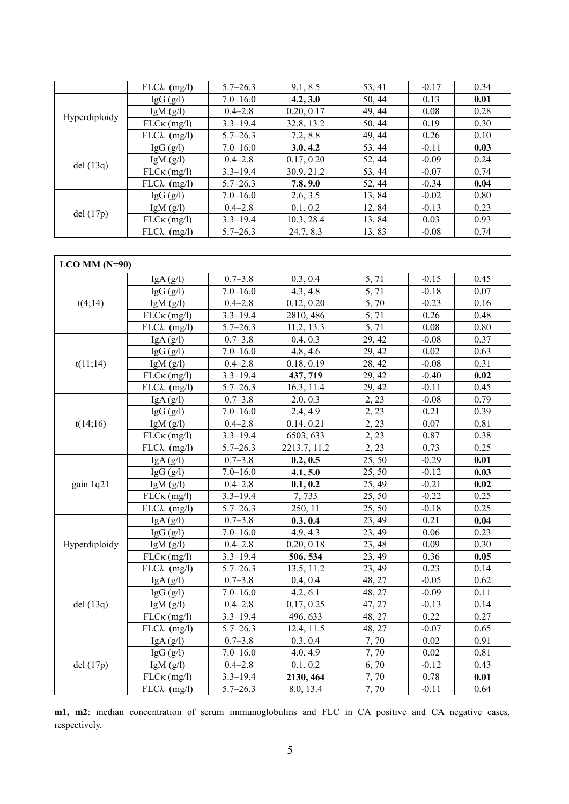|               | $FLC\lambda$ (mg/l) | $5.7 - 26.3$ | 9.1, 8.5   | 53, 41 | $-0.17$ | 0.34 |
|---------------|---------------------|--------------|------------|--------|---------|------|
|               | $\lg G$ (g/l)       | $7.0 - 16.0$ | 4.2, 3.0   | 50, 44 | 0.13    | 0.01 |
|               | IgM $(g/l)$         | $0.4 - 2.8$  | 0.20, 0.17 | 49, 44 | 0.08    | 0.28 |
| Hyperdiploidy | $FLC\kappa$ (mg/l)  | $3.3 - 19.4$ | 32.8, 13.2 | 50, 44 | 0.19    | 0.30 |
|               | $FLC\lambda$ (mg/l) | $5.7 - 26.3$ | 7.2, 8.8   | 49, 44 | 0.26    | 0.10 |
|               | IgG $(g/l)$         | $7.0 - 16.0$ | 3.0, 4.2   | 53, 44 | $-0.11$ | 0.03 |
| del(13q)      | IgM $(g/l)$         | $0.4 - 2.8$  | 0.17, 0.20 | 52, 44 | $-0.09$ | 0.24 |
|               | $FLC\kappa$ (mg/l)  | $3.3 - 19.4$ | 30.9, 21.2 | 53, 44 | $-0.07$ | 0.74 |
|               | $FLC\lambda$ (mg/l) | $5.7 - 26.3$ | 7.8, 9.0   | 52, 44 | $-0.34$ | 0.04 |
|               | $\lg G (g/l)$       | $7.0 - 16.0$ | 2.6, 3.5   | 13,84  | $-0.02$ | 0.80 |
|               | IgM $(g/l)$         | $0.4 - 2.8$  | 0.1, 0.2   | 12,84  | $-0.13$ | 0.23 |
| del(17p)      | $FLC\kappa$ (mg/l)  | $3.3 - 19.4$ | 10.3, 28.4 | 13,84  | 0.03    | 0.93 |
|               | $FLC\lambda$ (mg/l) | $5.7 - 26.3$ | 24.7, 8.3  | 13,83  | $-0.08$ | 0.74 |

| $LCO MM (N=90)$ |                                |              |              |                    |         |      |
|-----------------|--------------------------------|--------------|--------------|--------------------|---------|------|
|                 | IgA(g/I)                       | $0.7 - 3.8$  | 0.3, 0.4     | 5,71               | $-0.15$ | 0.45 |
|                 | IgG(g/I)                       | $7.0 - 16.0$ | 4.3, 4.8     | 5,71               | $-0.18$ | 0.07 |
| t(4;14)         | IgM $(g/l)$                    | $0.4 - 2.8$  | 0.12, 0.20   | $\overline{5, 70}$ | $-0.23$ | 0.16 |
|                 | $FLC\kappa$ (mg/l)             | $3.3 - 19.4$ | 2810, 486    | 5,71               | 0.26    | 0.48 |
|                 | $FLC\lambda$ (mg/l)            | $5.7 - 26.3$ | 11.2, 13.3   | 5,71               | 0.08    | 0.80 |
|                 | IgA(g/I)                       | $0.7 - 3.8$  | 0.4, 0.3     | 29, 42             | $-0.08$ | 0.37 |
|                 | IgG(g/l)                       | $7.0 - 16.0$ | 4.8, 4.6     | 29, 42             | 0.02    | 0.63 |
| t(11;14)        | IgM $(g/l)$                    | $0.4 - 2.8$  | 0.18, 0.19   | 28, 42             | $-0.08$ | 0.31 |
|                 | $FLC\kappa$ (mg/l)             | $3.3 - 19.4$ | 437, 719     | 29, 42             | $-0.40$ | 0.02 |
|                 | $\overline{FLC\lambda}$ (mg/l) | $5.7 - 26.3$ | 16.3, 11.4   | 29, 42             | $-0.11$ | 0.45 |
|                 | IgA(g/l)                       | $0.7 - 3.8$  | 2.0, 0.3     | 2, 23              | $-0.08$ | 0.79 |
|                 | IgG(g/I)                       | $7.0 - 16.0$ | 2.4, 4.9     | 2, 23              | 0.21    | 0.39 |
| t(14;16)        | IgM $(g/l)$                    | $0.4 - 2.8$  | 0.14, 0.21   | 2, 23              | 0.07    | 0.81 |
|                 | $FLC\kappa$ (mg/l)             | $3.3 - 19.4$ | 6503, 633    | 2, 23              | 0.87    | 0.38 |
|                 | $FLC\lambda$ (mg/l)            | $5.7 - 26.3$ | 2213.7, 11.2 | 2, 23              | 0.73    | 0.25 |
|                 | IgA(g/I)                       | $0.7 - 3.8$  | 0.2, 0.5     | 25, 50             | $-0.29$ | 0.01 |
|                 | $\overline{I}$ gG (g/l)        | $7.0 - 16.0$ | 4.1, 5.0     | 25, 50             | $-0.12$ | 0.03 |
| gain 1q21       | IgM $(g/l)$                    | $0.4 - 2.8$  | 0.1, 0.2     | 25, 49             | $-0.21$ | 0.02 |
|                 | $FLC\kappa$ (mg/l)             | $3.3 - 19.4$ | 7,733        | 25, 50             | $-0.22$ | 0.25 |
|                 | $FLC\lambda$ (mg/l)            | $5.7 - 26.3$ | 250, 11      | 25, 50             | $-0.18$ | 0.25 |
|                 | IgA(g/l)                       | $0.7 - 3.8$  | 0.3, 0.4     | 23, 49             | 0.21    | 0.04 |
|                 | IgG(g/I)                       | $7.0 - 16.0$ | 4.9, 4.3     | 23, 49             | 0.06    | 0.23 |
| Hyperdiploidy   | IgM $(g/l)$                    | $0.4 - 2.8$  | 0.20, 0.18   | 23, 48             | 0.09    | 0.30 |
|                 | $FLC\kappa$ (mg/l)             | $3.3 - 19.4$ | 506, 534     | 23, 49             | 0.36    | 0.05 |
|                 | $FLC\lambda$ (mg/l)            | $5.7 - 26.3$ | 13.5, 11.2   | 23, 49             | 0.23    | 0.14 |
|                 | IgA(g/l)                       | $0.7 - 3.8$  | 0.4, 0.4     | 48, 27             | $-0.05$ | 0.62 |
|                 | IgG(g/I)                       | $7.0 - 16.0$ | 4.2, 6.1     | 48, 27             | $-0.09$ | 0.11 |
| del(13q)        | IgM $(g/l)$                    | $0.4 - 2.8$  | 0.17, 0.25   | 47, 27             | $-0.13$ | 0.14 |
|                 | $FLC\kappa$ (mg/l)             | $3.3 - 19.4$ | 496, 633     | 48, 27             | 0.22    | 0.27 |
|                 | $FLC\lambda$ (mg/l)            | $5.7 - 26.3$ | 12.4, 11.5   | 48, 27             | $-0.07$ | 0.65 |
|                 | IgA(g/I)                       | $0.7 - 3.8$  | 0.3, 0.4     | 7,70               | 0.02    | 0.91 |
|                 | IgG(g/I)                       | $7.0 - 16.0$ | 4.0, 4.9     | 7,70               | 0.02    | 0.81 |
| del(17p)        | IgM $(g/l)$                    | $0.4 - 2.8$  | 0.1, 0.2     | 6,70               | $-0.12$ | 0.43 |
|                 | $FLC\kappa$ (mg/l)             | $3.3 - 19.4$ | 2130, 464    | 7,70               | 0.78    | 0.01 |
|                 | $FLC\lambda$ (mg/l)            | $5.7 - 26.3$ | 8.0, 13.4    | 7,70               | $-0.11$ | 0.64 |

**m1, m2**: median concentration of serum immunoglobulins and FLC in CA positive and CA negative cases, respectively.